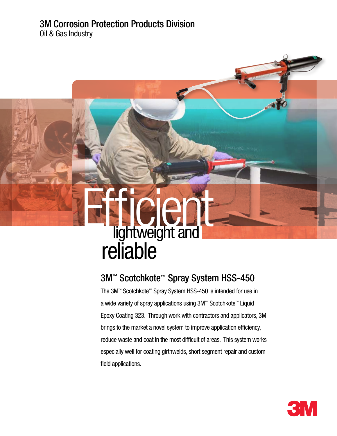#### 3M Corrosion Protection Products Division Oil & Gas Industry

# **Transformation is all in the United States of the United States and interactional interactions**  reliable **Efficient**

## 3M™ Scotchkote™ Spray System HSS-450

The 3M™ Scotchkote™ Spray System HSS-450 is intended for use in a wide variety of spray applications using 3M™ Scotchkote™ Liquid Epoxy Coating 323. Through work with contractors and applicators, 3M brings to the market a novel system to improve application efficiency, reduce waste and coat in the most difficult of areas. This system works especially well for coating girthwelds, short segment repair and custom field applications.